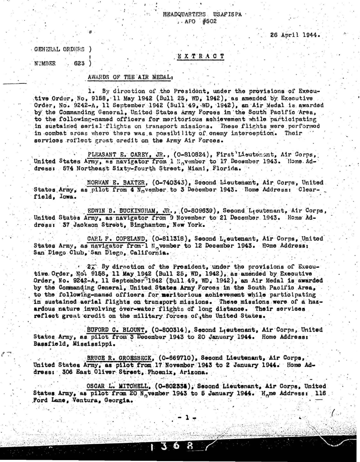## READQUARTERS USAFISPA  $. AFO$   $#502$

26 April 1944.

GENERAL ORDERS

## EXTRACT

**NUMBER**  $623$  )

## AWARDS OF THE AIR MEDAL:

 $\mathbf{1}$ . By direction of the President, under the provisions of Executive Order. No. 9158. 11 May 1942 (Bull 25. WD. 1942), as amended by Executive Order, No. 9242-A, 11 September 1942 (Bull 49, WD, 1942), an Air Medal is awarded by the Commanding General. United States Army Forces in the South Pacific Area. to the following-named officers for meritorious achievement while participating in sustained aerial flights on transport missions. These flights were porformed in combat aroas where there was a possibility of onemy interception. Their services reflect great credit on the Army Air Forces.

PLEASANT E. CAREY, JR., (0-810824), First Lieutenant, Air Corps. United States Army, as navigator from 1 Hovember to 17 December 1943. Home Address: 574 Northeast Sixty-fourth Street, Miami, Florida.

NORMAN E. BAXTER, (0-740343), Second Lieutenant, Air Corps, United. States Army, as pilot from 4 November to 3 December 1943. Home Address: Clearfield, Jowa.

EDWIN B. BUCKINGHAM, JR., (0-809639), Second Lieutenant, Air Corps, United States Army, as navigator from 9 November to 21 December 1943. Home Address: 37 Jackson Street, Binghamton, New York.

CARL F. COPELAND, (0-811318), Second L, eutenant, Air Corps, United States Army, as navigator from-1 N vember to 12 December 1943. Home Address: San Diego Club, San Diego, California.

2. By direction of the President, under the provisions of Executive Order, No. 9158, 11 May 1942 (Bull 25, WD, 1942), as amended by Executive Order, No. 9242-A, 11 September 1942 (Bull 49, WD, 1942), an Air Medal is awarded by the Commanding Ceneral. United States Army Forces in the South Pacific Area. to the following-named officers for meritorious achievement while participating in sustained aerial flights on transport missions. These missions were of a hazardous nature involving over-water flights of long distance. Their services reflect great credit on the military forces of the United States.

BUFORD C. BLOUNT, (0-800314), Second Lieutenant, Air Corps, United States Army, as pilot from 3 December 1943 to 20 January 1944. Home Address: Bassfield, Mississippi.

BRUCE R. GROESBECK, (0-669710), Second Lieutenant, Air Corps, United States Army, as pilot from 17 November 1943 to 2 January 1944. Home Address: 306 East Oliver Street, Phoenix, Arizona.

OSCAR L. MITCHELL, (O-802335), Second Lieutenant, Air Corps, United States Army, as pilot from 20 November 1943 to 5 January 1944. Home Address: 116 Ford Lane, Ventura, Georgia.

> 3. B.